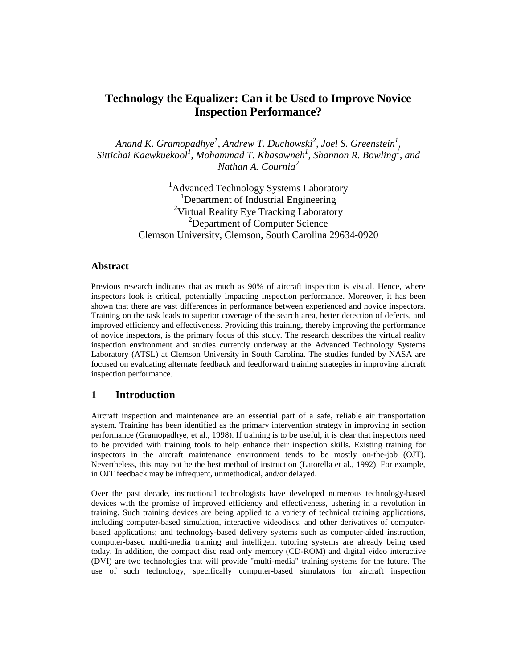# **Technology the Equalizer: Can it be Used to Improve Novice Inspection Performance?**

Anand *K. Gramopadhye<sup>1</sup>, Andrew T. Duchowski<sup>2</sup>, Joel S. Greenstein<sup>1</sup>,* Sittichai Kaewkuekool<sup>1</sup>, Mohammad T. Khasawneh<sup>1</sup>, Shannon R. Bowling<sup>1</sup>, and *Nathan A. Cournia2* 

> <sup>1</sup>Advanced Technology Systems Laboratory <sup>1</sup>Department of Industrial Engineering <sup>2</sup>Virtual Reality Eye Tracking Laboratory <sup>2</sup>Department of Computer Science Clemson University, Clemson, South Carolina 29634-0920

#### **Abstract**

Previous research indicates that as much as 90% of aircraft inspection is visual. Hence, where inspectors look is critical, potentially impacting inspection performance. Moreover, it has been shown that there are vast differences in performance between experienced and novice inspectors. Training on the task leads to superior coverage of the search area, better detection of defects, and improved efficiency and effectiveness. Providing this training, thereby improving the performance of novice inspectors, is the primary focus of this study. The research describes the virtual reality inspection environment and studies currently underway at the Advanced Technology Systems Laboratory (ATSL) at Clemson University in South Carolina. The studies funded by NASA are focused on evaluating alternate feedback and feedforward training strategies in improving aircraft inspection performance.

### **1 Introduction**

Aircraft inspection and maintenance are an essential part of a safe, reliable air transportation system. Training has been identified as the primary intervention strategy in improving in section performance (Gramopadhye, et al., 1998). If training is to be useful, it is clear that inspectors need to be provided with training tools to help enhance their inspection skills. Existing training for inspectors in the aircraft maintenance environment tends to be mostly on-the-job (OJT). Nevertheless, this may not be the best method of instruction (Latorella et al., 1992). For example, in OJT feedback may be infrequent, unmethodical, and/or delayed.

Over the past decade, instructional technologists have developed numerous technology-based devices with the promise of improved efficiency and effectiveness, ushering in a revolution in training. Such training devices are being applied to a variety of technical training applications, including computer-based simulation, interactive videodiscs, and other derivatives of computerbased applications; and technology-based delivery systems such as computer-aided instruction, computer-based multi-media training and intelligent tutoring systems are already being used today. In addition, the compact disc read only memory (CD-ROM) and digital video interactive (DVI) are two technologies that will provide "multi-media" training systems for the future. The use of such technology, specifically computer-based simulators for aircraft inspection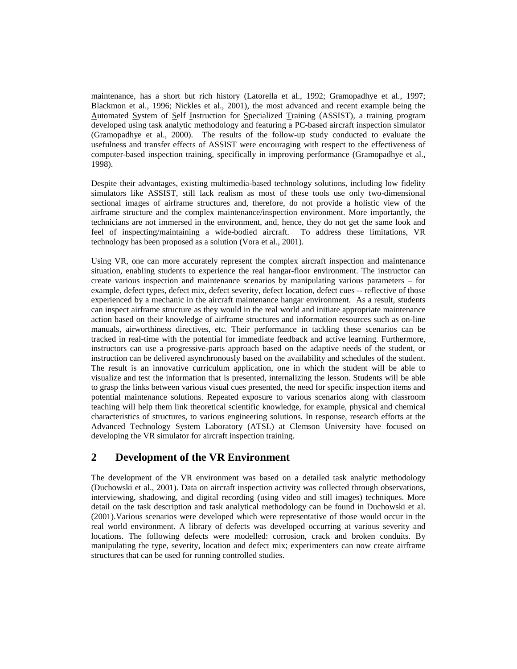maintenance, has a short but rich history (Latorella et al., 1992; Gramopadhye et al., 1997; Blackmon et al., 1996; Nickles et al., 2001), the most advanced and recent example being the Automated System of Self Instruction for Specialized Training (ASSIST), a training program developed using task analytic methodology and featuring a PC-based aircraft inspection simulator (Gramopadhye et al., 2000). The results of the follow-up study conducted to evaluate the usefulness and transfer effects of ASSIST were encouraging with respect to the effectiveness of computer-based inspection training, specifically in improving performance (Gramopadhye et al., 1998).

Despite their advantages, existing multimedia-based technology solutions, including low fidelity simulators like ASSIST, still lack realism as most of these tools use only two-dimensional sectional images of airframe structures and, therefore, do not provide a holistic view of the airframe structure and the complex maintenance/inspection environment. More importantly, the technicians are not immersed in the environment, and, hence, they do not get the same look and feel of inspecting/maintaining a wide-bodied aircraft. To address these limitations, VR technology has been proposed as a solution (Vora et al., 2001).

Using VR, one can more accurately represent the complex aircraft inspection and maintenance situation, enabling students to experience the real hangar-floor environment. The instructor can create various inspection and maintenance scenarios by manipulating various parameters – for example, defect types, defect mix, defect severity, defect location, defect cues -- reflective of those experienced by a mechanic in the aircraft maintenance hangar environment. As a result, students can inspect airframe structure as they would in the real world and initiate appropriate maintenance action based on their knowledge of airframe structures and information resources such as on-line manuals, airworthiness directives, etc. Their performance in tackling these scenarios can be tracked in real-time with the potential for immediate feedback and active learning. Furthermore, instructors can use a progressive-parts approach based on the adaptive needs of the student, or instruction can be delivered asynchronously based on the availability and schedules of the student. The result is an innovative curriculum application, one in which the student will be able to visualize and test the information that is presented, internalizing the lesson. Students will be able to grasp the links between various visual cues presented, the need for specific inspection items and potential maintenance solutions. Repeated exposure to various scenarios along with classroom teaching will help them link theoretical scientific knowledge, for example, physical and chemical characteristics of structures, to various engineering solutions. In response, research efforts at the Advanced Technology System Laboratory (ATSL) at Clemson University have focused on developing the VR simulator for aircraft inspection training.

## **2 Development of the VR Environment**

The development of the VR environment was based on a detailed task analytic methodology (Duchowski et al., 2001). Data on aircraft inspection activity was collected through observations, interviewing, shadowing, and digital recording (using video and still images) techniques. More detail on the task description and task analytical methodology can be found in Duchowski et al. (2001).Various scenarios were developed which were representative of those would occur in the real world environment. A library of defects was developed occurring at various severity and locations. The following defects were modelled: corrosion, crack and broken conduits. By manipulating the type, severity, location and defect mix; experimenters can now create airframe structures that can be used for running controlled studies.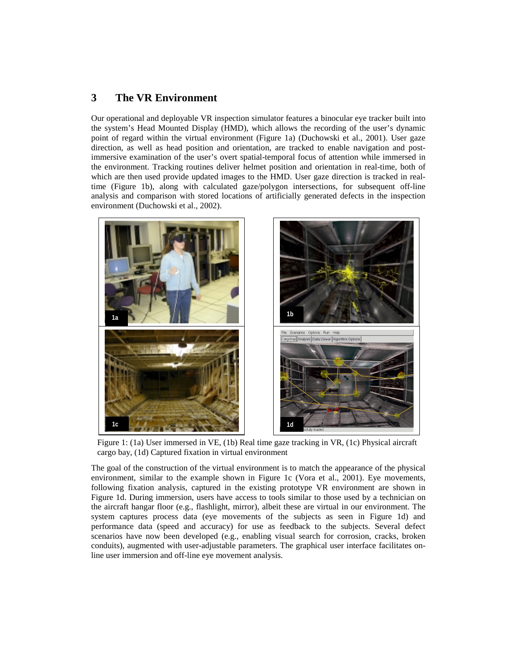# **3 The VR Environment**

Our operational and deployable VR inspection simulator features a binocular eye tracker built into the system's Head Mounted Display (HMD), which allows the recording of the user's dynamic point of regard within the virtual environment (Figure 1a) (Duchowski et al., 2001). User gaze direction, as well as head position and orientation, are tracked to enable navigation and postimmersive examination of the user's overt spatial-temporal focus of attention while immersed in the environment. Tracking routines deliver helmet position and orientation in real-time, both of which are then used provide updated images to the HMD. User gaze direction is tracked in realtime (Figure 1b), along with calculated gaze/polygon intersections, for subsequent off-line analysis and comparison with stored locations of artificially generated defects in the inspection environment (Duchowski et al., 2002).



Figure 1: (1a) User immersed in VE, (1b) Real time gaze tracking in VR, (1c) Physical aircraft cargo bay, (1d) Captured fixation in virtual environment

The goal of the construction of the virtual environment is to match the appearance of the physical environment, similar to the example shown in Figure 1c (Vora et al., 2001). Eye movements, following fixation analysis, captured in the existing prototype VR environment are shown in Figure 1d. During immersion, users have access to tools similar to those used by a technician on the aircraft hangar floor (e.g., flashlight, mirror), albeit these are virtual in our environment. The system captures process data (eye movements of the subjects as seen in Figure 1d) and performance data (speed and accuracy) for use as feedback to the subjects. Several defect scenarios have now been developed (e.g., enabling visual search for corrosion, cracks, broken conduits), augmented with user-adjustable parameters. The graphical user interface facilitates online user immersion and off-line eye movement analysis.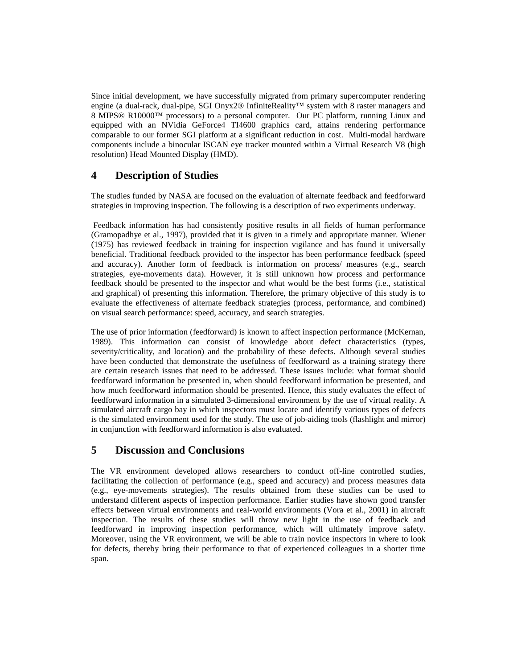Since initial development, we have successfully migrated from primary supercomputer rendering engine (a dual-rack, dual-pipe, SGI Onyx2® InfiniteReality™ system with 8 raster managers and 8 MIPS® R10000™ processors) to a personal computer. Our PC platform, running Linux and equipped with an NVidia GeForce4 TI4600 graphics card, attains rendering performance comparable to our former SGI platform at a significant reduction in cost. Multi-modal hardware components include a binocular ISCAN eye tracker mounted within a Virtual Research V8 (high resolution) Head Mounted Display (HMD).

# **4 Description of Studies**

The studies funded by NASA are focused on the evaluation of alternate feedback and feedforward strategies in improving inspection. The following is a description of two experiments underway.

 Feedback information has had consistently positive results in all fields of human performance (Gramopadhye et al., 1997), provided that it is given in a timely and appropriate manner. Wiener (1975) has reviewed feedback in training for inspection vigilance and has found it universally beneficial. Traditional feedback provided to the inspector has been performance feedback (speed and accuracy). Another form of feedback is information on process/ measures (e.g., search strategies, eye-movements data). However, it is still unknown how process and performance feedback should be presented to the inspector and what would be the best forms (i.e., statistical and graphical) of presenting this information. Therefore, the primary objective of this study is to evaluate the effectiveness of alternate feedback strategies (process, performance, and combined) on visual search performance: speed, accuracy, and search strategies.

The use of prior information (feedforward) is known to affect inspection performance (McKernan, 1989). This information can consist of knowledge about defect characteristics (types, severity/criticality, and location) and the probability of these defects. Although several studies have been conducted that demonstrate the usefulness of feedforward as a training strategy there are certain research issues that need to be addressed. These issues include: what format should feedforward information be presented in, when should feedforward information be presented, and how much feedforward information should be presented. Hence, this study evaluates the effect of feedforward information in a simulated 3-dimensional environment by the use of virtual reality. A simulated aircraft cargo bay in which inspectors must locate and identify various types of defects is the simulated environment used for the study. The use of job-aiding tools (flashlight and mirror) in conjunction with feedforward information is also evaluated.

## **5 Discussion and Conclusions**

The VR environment developed allows researchers to conduct off-line controlled studies, facilitating the collection of performance (e.g., speed and accuracy) and process measures data (e.g., eye-movements strategies). The results obtained from these studies can be used to understand different aspects of inspection performance. Earlier studies have shown good transfer effects between virtual environments and real-world environments (Vora et al., 2001) in aircraft inspection. The results of these studies will throw new light in the use of feedback and feedforward in improving inspection performance, which will ultimately improve safety. Moreover, using the VR environment, we will be able to train novice inspectors in where to look for defects, thereby bring their performance to that of experienced colleagues in a shorter time span.